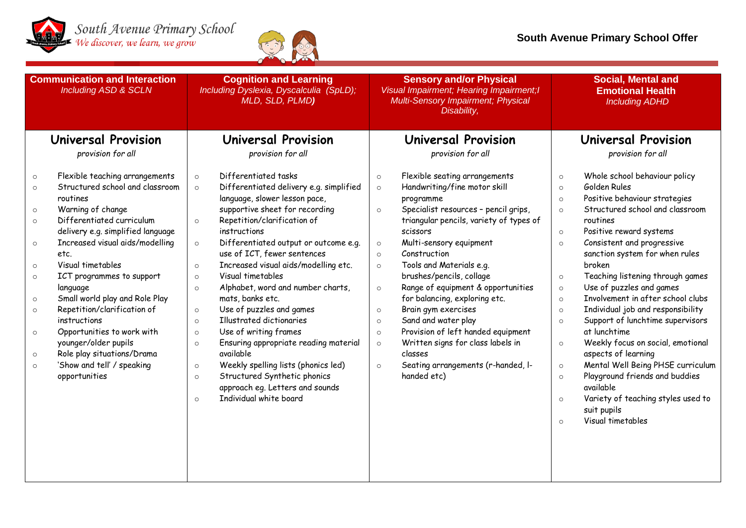



| <b>Communication and Interaction</b><br><b>Including ASD &amp; SCLN</b>                                                                                                                                                                                                                                                                                                                                                                                                                                                                                                                                                               | <b>Cognition and Learning</b><br>Including Dyslexia, Dyscalculia (SpLD);<br>MLD, SLD, PLMD)                                                                                                                                                                                                                                                                                                                                                                                                                                                                                                                                                                                                                                                                                                                          | <b>Sensory and/or Physical</b><br>Visual Impairment; Hearing Impairment; I<br>Multi-Sensory Impairment; Physical<br>Disability,                                                                                                                                                                                                                                                                                                                                                                                                                                                                                                                                                  | <b>Social, Mental and</b><br><b>Emotional Health</b><br><b>Including ADHD</b>                                                                                                                                                                                                                                                                                                                                                                                                                                                                                                                                                                                                                                                                                                                                                              |
|---------------------------------------------------------------------------------------------------------------------------------------------------------------------------------------------------------------------------------------------------------------------------------------------------------------------------------------------------------------------------------------------------------------------------------------------------------------------------------------------------------------------------------------------------------------------------------------------------------------------------------------|----------------------------------------------------------------------------------------------------------------------------------------------------------------------------------------------------------------------------------------------------------------------------------------------------------------------------------------------------------------------------------------------------------------------------------------------------------------------------------------------------------------------------------------------------------------------------------------------------------------------------------------------------------------------------------------------------------------------------------------------------------------------------------------------------------------------|----------------------------------------------------------------------------------------------------------------------------------------------------------------------------------------------------------------------------------------------------------------------------------------------------------------------------------------------------------------------------------------------------------------------------------------------------------------------------------------------------------------------------------------------------------------------------------------------------------------------------------------------------------------------------------|--------------------------------------------------------------------------------------------------------------------------------------------------------------------------------------------------------------------------------------------------------------------------------------------------------------------------------------------------------------------------------------------------------------------------------------------------------------------------------------------------------------------------------------------------------------------------------------------------------------------------------------------------------------------------------------------------------------------------------------------------------------------------------------------------------------------------------------------|
| Universal Provision<br>provision for all                                                                                                                                                                                                                                                                                                                                                                                                                                                                                                                                                                                              | Universal Provision<br>provision for all                                                                                                                                                                                                                                                                                                                                                                                                                                                                                                                                                                                                                                                                                                                                                                             | Universal Provision<br>provision for all                                                                                                                                                                                                                                                                                                                                                                                                                                                                                                                                                                                                                                         | Universal Provision<br>provision for all                                                                                                                                                                                                                                                                                                                                                                                                                                                                                                                                                                                                                                                                                                                                                                                                   |
| Flexible teaching arrangements<br>$\circ$<br>Structured school and classroom<br>$\circ$<br>routines<br>Warning of change<br>$\circ$<br>Differentiated curriculum<br>$\circ$<br>delivery e.g. simplified language<br>Increased visual aids/modelling<br>$\circ$<br>etc.<br>Visual timetables<br>$\circ$<br>ICT programmes to support<br>$\circ$<br>language<br>Small world play and Role Play<br>$\circ$<br>Repetition/clarification of<br>$\circ$<br>instructions<br>Opportunities to work with<br>$\circ$<br>younger/older pupils<br>Role play situations/Drama<br>$\circ$<br>'Show and tell' / speaking<br>$\circ$<br>opportunities | Differentiated tasks<br>$\circ$<br>Differentiated delivery e.g. simplified<br>$\circ$<br>language, slower lesson pace,<br>supportive sheet for recording<br>Repetition/clarification of<br>$\circ$<br>instructions<br>Differentiated output or outcome e.g.<br>$\circ$<br>use of ICT, fewer sentences<br>Increased visual aids/modelling etc.<br>$\circ$<br>Visual timetables<br>$\circ$<br>Alphabet, word and number charts,<br>$\circ$<br>mats, banks etc.<br>Use of puzzles and games<br>$\circ$<br>Illustrated dictionaries<br>$\circ$<br>Use of writing frames<br>$\circ$<br>Ensuring appropriate reading material<br>$\circ$<br>available<br>Weekly spelling lists (phonics led)<br>$\circ$<br>Structured Synthetic phonics<br>$\circ$<br>approach eg. Letters and sounds<br>Individual white board<br>$\circ$ | Flexible seating arrangements<br>$\circ$<br>Handwriting/fine motor skill<br>$\circ$<br>programme<br>Specialist resources - pencil grips,<br>$\circ$<br>triangular pencils, variety of types of<br>scissors<br>Multi-sensory equipment<br>$\circ$<br>Construction<br>$\circ$<br>Tools and Materials e.g.<br>$\circ$<br>brushes/pencils, collage<br>Range of equipment & opportunities<br>$\circ$<br>for balancing, exploring etc.<br>Brain gym exercises<br>$\circ$<br>Sand and water play<br>$\circ$<br>Provision of left handed equipment<br>$\circ$<br>Written signs for class labels in<br>$\circ$<br>classes<br>Seating arrangements (r-handed, I-<br>$\circ$<br>handed etc) | Whole school behaviour policy<br>$\circ$<br>Golden Rules<br>$\circ$<br>Positive behaviour strategies<br>$\circ$<br>Structured school and classroom<br>$\circ$<br>routines<br>Positive reward systems<br>$\circ$<br>Consistent and progressive<br>$\circ$<br>sanction system for when rules<br>broken<br>Teaching listening through games<br>$\circ$<br>Use of puzzles and games<br>$\circ$<br>Involvement in after school clubs<br>$\circ$<br>Individual job and responsibility<br>$\circ$<br>Support of lunchtime supervisors<br>$\circ$<br>at lunchtime<br>Weekly focus on social, emotional<br>$\circ$<br>aspects of learning<br>Mental Well Being PHSE curriculum<br>$\circ$<br>Playground friends and buddies<br>$\circ$<br>available<br>Variety of teaching styles used to<br>$\circ$<br>suit pupils<br>Visual timetables<br>$\circ$ |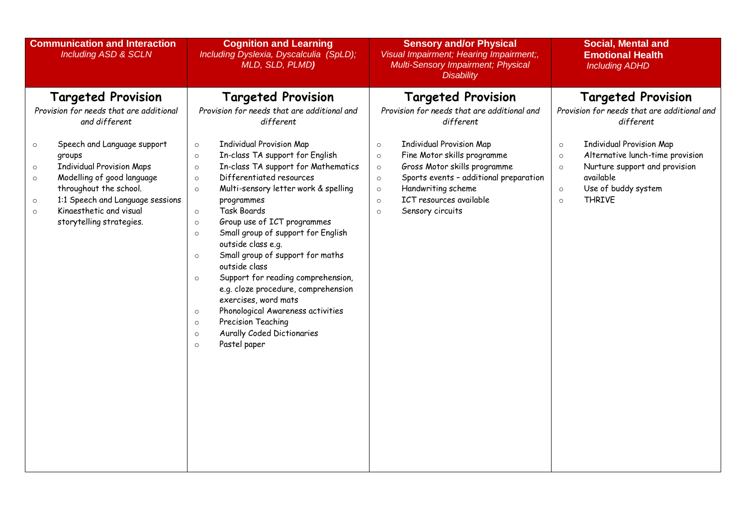| <b>Communication and Interaction</b><br><b>Including ASD &amp; SCLN</b>                                                                                                                                                                                                                                                                                                      | <b>Cognition and Learning</b><br>Including Dyslexia, Dyscalculia (SpLD);<br>MLD, SLD, PLMD)                                                                                                                                                                                                                                                                                                                                                                                                                                                                                                                                                                                                                                   | <b>Sensory and/or Physical</b><br>Visual Impairment; Hearing Impairment;,<br>Multi-Sensory Impairment; Physical<br><b>Disability</b>                                                                                                                                                                                                                                                | <b>Social, Mental and</b><br><b>Emotional Health</b><br><b>Including ADHD</b>                                                                                                                                                                                                                             |
|------------------------------------------------------------------------------------------------------------------------------------------------------------------------------------------------------------------------------------------------------------------------------------------------------------------------------------------------------------------------------|-------------------------------------------------------------------------------------------------------------------------------------------------------------------------------------------------------------------------------------------------------------------------------------------------------------------------------------------------------------------------------------------------------------------------------------------------------------------------------------------------------------------------------------------------------------------------------------------------------------------------------------------------------------------------------------------------------------------------------|-------------------------------------------------------------------------------------------------------------------------------------------------------------------------------------------------------------------------------------------------------------------------------------------------------------------------------------------------------------------------------------|-----------------------------------------------------------------------------------------------------------------------------------------------------------------------------------------------------------------------------------------------------------------------------------------------------------|
| <b>Targeted Provision</b><br>Provision for needs that are additional<br>and different<br>Speech and Language support<br>$\circ$<br>groups<br><b>Individual Provision Maps</b><br>$\circ$<br>Modelling of good language<br>$\circ$<br>throughout the school.<br>1:1 Speech and Language sessions<br>$\circ$<br>Kinaesthetic and visual<br>$\circ$<br>storytelling strategies. | <b>Targeted Provision</b><br>Provision for needs that are additional and<br>different<br><b>Individual Provision Map</b><br>$\circ$<br>In-class TA support for English<br>$\circ$<br>In-class TA support for Mathematics<br>$\circ$<br>Differentiated resources<br>$\circ$<br>Multi-sensory letter work & spelling<br>$\circ$<br>programmes<br><b>Task Boards</b><br>$\circ$<br>Group use of ICT programmes<br>$\circ$<br>Small group of support for English<br>$\circ$<br>outside class e.g.<br>Small group of support for maths<br>$\circ$<br>outside class<br>Support for reading comprehension,<br>$\circ$<br>e.g. cloze procedure, comprehension<br>exercises, word mats<br>Phonological Awareness activities<br>$\circ$ | <b>Targeted Provision</b><br>Provision for needs that are additional and<br>different<br><b>Individual Provision Map</b><br>$\circ$<br>Fine Motor skills programme<br>$\circ$<br>Gross Motor skills programme<br>$\circ$<br>Sports events - additional preparation<br>$\circ$<br>Handwriting scheme<br>$\circ$<br>ICT resources available<br>$\circ$<br>Sensory circuits<br>$\circ$ | <b>Targeted Provision</b><br>Provision for needs that are additional and<br>different<br><b>Individual Provision Map</b><br>$\circ$<br>Alternative lunch-time provision<br>$\circ$<br>Nurture support and provision<br>$\circ$<br>available<br>Use of buddy system<br>$\circ$<br><b>THRIVE</b><br>$\circ$ |
|                                                                                                                                                                                                                                                                                                                                                                              | Precision Teaching<br>$\circ$<br>Aurally Coded Dictionaries<br>$\circ$<br>Pastel paper<br>$\circ$                                                                                                                                                                                                                                                                                                                                                                                                                                                                                                                                                                                                                             |                                                                                                                                                                                                                                                                                                                                                                                     |                                                                                                                                                                                                                                                                                                           |